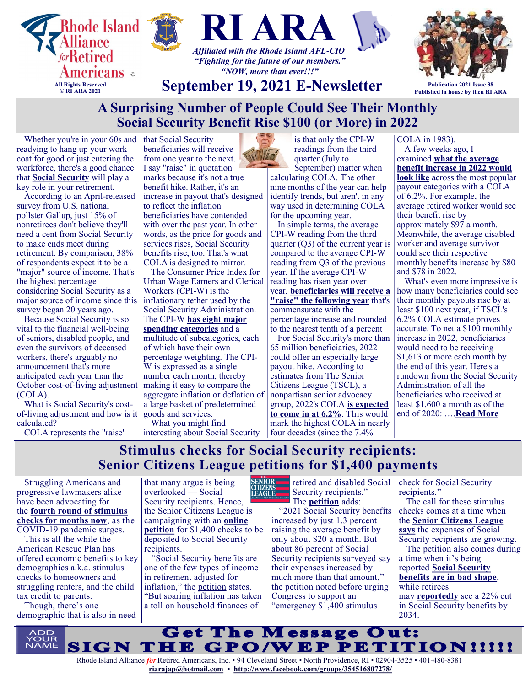

# **A Surprising Number of People Could See Their Monthly Social Security Benefit Rise \$100 (or More) in 2022**

Whether you're in your 60s and readying to hang up your work coat for good or just entering the workforce, there's a good chance that **[Social Security](https://www.fool.com/retirement/social-security/?utm_source=msnrss&utm_medium=feed&utm_campaign=article&referring_guid=14fab7b4-20dd-48dc-92a0-dab05606241d)** will play a key role in your retirement.

According to an April-released survey from U.S. national pollster Gallup, just 15% of nonretirees don't believe they'll need a cent from Social Security to make ends meet during retirement. By comparison, 38% of respondents expect it to be a "major" source of income. That's the highest percentage considering Social Security as a major source of income since this survey began 20 years ago.

Because Social Security is so vital to the financial well-being of seniors, disabled people, and even the survivors of deceased workers, there's arguably no announcement that's more anticipated each year than the October cost-of-living adjustment (COLA).

What is Social Security's costof-living adjustment and how is it calculated?

COLA represents the "raise"

that Social Security beneficiaries will receive from one year to the next. I say "raise" in quotation marks because it's not a true benefit hike. Rather, it's an increase in payout that's designed to reflect the inflation beneficiaries have contended with over the past year. In other words, as the price for goods and services rises, Social Security benefits rise, too. That's what COLA is designed to mirror.

The Consumer Price Index for Urban Wage Earners and Clerical Workers (CPI-W) is the inflationary tether used by the Social Security Administration. The CPI-W **[has eight major](https://www.fool.com/retirement/2017/10/08/the-8-major-spending-categories-that-affect-social.aspx?utm_source=msnrss&utm_medium=feed&utm_campaign=article&referring_guid=14fab7b4-20dd-48dc-92a0-dab05606241d)  [spending categories](https://www.fool.com/retirement/2017/10/08/the-8-major-spending-categories-that-affect-social.aspx?utm_source=msnrss&utm_medium=feed&utm_campaign=article&referring_guid=14fab7b4-20dd-48dc-92a0-dab05606241d)** and a multitude of subcategories, each of which have their own percentage weighting. The CPI-W is expressed as a single number each month, thereby making it easy to compare the aggregate inflation or deflation of a large basket of predetermined goods and services.

What you might find interesting about Social Security is that only the CPI-W readings from the third quarter (July to

September) matter when calculating COLA. The other nine months of the year can help identify trends, but aren't in any way used in determining COLA for the upcoming year.

In simple terms, the average CPI-W reading from the third quarter (Q3) of the current year is compared to the average CPI-W reading from Q3 of the previous year. If the average CPI-W reading has risen year over year, **[beneficiaries will receive a](https://www.fool.com/retirement/2019/03/09/a-step-by-step-of-how-social-securitys-cola-is-cal.aspx?utm_source=msnrss&utm_medium=feed&utm_campaign=article&referring_guid=14fab7b4-20dd-48dc-92a0-dab05606241d)  ["raise" the following year](https://www.fool.com/retirement/2019/03/09/a-step-by-step-of-how-social-securitys-cola-is-cal.aspx?utm_source=msnrss&utm_medium=feed&utm_campaign=article&referring_guid=14fab7b4-20dd-48dc-92a0-dab05606241d)** that's commensurate with the

percentage increase and rounded to the nearest tenth of a percent

For Social Security's more than 65 million beneficiaries, 2022 could offer an especially large payout hike. According to estimates from The Senior Citizens League (TSCL), a nonpartisan senior advocacy group, 2022's COLA **[is expected](https://www.fool.com/retirement/2021/08/16/seniors-could-get-a-62-social-security-raise-in-20/?utm_source=msnrss&utm_medium=feed&utm_campaign=article&referring_guid=14fab7b4-20dd-48dc-92a0-dab05606241d)  [to come in at 6.2%](https://www.fool.com/retirement/2021/08/16/seniors-could-get-a-62-social-security-raise-in-20/?utm_source=msnrss&utm_medium=feed&utm_campaign=article&referring_guid=14fab7b4-20dd-48dc-92a0-dab05606241d)**. This would mark the highest COLA in nearly four decades (since the 7.4%

### COLA in 1983).

A few weeks ago, I examined **[what the average](https://www.fool.com/investing/2021/08/29/how-much-average-social-security-benefit-rise-2022/?utm_source=msnrss&utm_medium=feed&utm_campaign=article&referring_guid=14fab7b4-20dd-48dc-92a0-dab05606241d)  [benefit increase in 2022 would](https://www.fool.com/investing/2021/08/29/how-much-average-social-security-benefit-rise-2022/?utm_source=msnrss&utm_medium=feed&utm_campaign=article&referring_guid=14fab7b4-20dd-48dc-92a0-dab05606241d)  [look like](https://www.fool.com/investing/2021/08/29/how-much-average-social-security-benefit-rise-2022/?utm_source=msnrss&utm_medium=feed&utm_campaign=article&referring_guid=14fab7b4-20dd-48dc-92a0-dab05606241d)** across the most popular payout categories with a COLA of 6.2%. For example, the average retired worker would see their benefit rise by approximately \$97 a month. Meanwhile, the average disabled worker and average survivor could see their respective monthly benefits increase by \$80 and \$78 in 2022.

What's even more impressive is how many beneficiaries could see their monthly payouts rise by at least \$100 next year, if TSCL's 6.2% COLA estimate proves accurate. To net a \$100 monthly increase in 2022, beneficiaries would need to be receiving \$1,613 or more each month by the end of this year. Here's a rundown from the Social Security Administration of all the beneficiaries who received at least \$1,600 a month as of the end of 2020: ….**[Read More](https://www.msn.com/en-us/money/news/a-surprising-number-of-people-could-see-their-monthly-social-security-benefit-rise-dollar100-or-more-in-2022/ar-AAOm5o8?ocid=SK2DDHP&li=BBnb7Kz)**

# **Stimulus checks for Social Security recipients: Senior Citizens League petitions for \$1,400 payments**

Struggling Americans and progressive lawmakers alike have been advocating for the **[fourth round of stimulus](https://www.pennlive.com/nation-world/2021/08/fourth-stimulus-checks-recurring-payments-the-push-continues-but-here-are-the-many-ways-you-may-get-direct-relief-now.html)  [checks for months now](https://www.pennlive.com/nation-world/2021/08/fourth-stimulus-checks-recurring-payments-the-push-continues-but-here-are-the-many-ways-you-may-get-direct-relief-now.html)**, as the COVID-19 pandemic surges.

This is all the while the American Rescue Plan has offered economic benefits to key demographics a.k.a. stimulus checks to homeowners and struggling renters, and the child tax credit to parents.

Though, there's one demographic that is also in need

SENÏOR<br>CITIZENS<br>LEAGUE that many argue is being overlooked — Social Security recipients. Hence, the Senior Citizens League is campaigning with an **[online](https://seniorsleague.salsalabs.org/emergencystimulus/index.html)  [petition](https://seniorsleague.salsalabs.org/emergencystimulus/index.html)** for \$1,400 checks to be deposited to Social Security recipients.

"Social Security benefits are one of the few types of income in retirement adjusted for inflation," the [petition](https://seniorsleague.salsalabs.org/emergencystimulus/index.html) states. "But soaring inflation has taken a toll on household finances of

Security recipients."

The **[petition](https://seniorsleague.salsalabs.org/emergencystimulus/index.html)** adds: "2021 Social Security benefits increased by just 1.3 percent raising the average benefit by only about \$20 a month. But about 86 percent of Social Security recipients surveyed say their expenses increased by much more than that amount," the petition noted before urging Congress to support an "emergency \$1,400 stimulus

retired and disabled Social check for Social Security recipients."

The call for these stimulus checks comes at a time when the **[Senior Citizens League](https://seniorsleague.salsalabs.org/emergencystimulus/index.html)  [says](https://seniorsleague.salsalabs.org/emergencystimulus/index.html)** the expenses of Social Security recipients are growing.

The petition also comes during a time when it's being reported **[Social Security](https://www.barrons.com/articles/social-security-dire-shape-trustees-report-51631210968)  [benefits are in bad shape](https://www.barrons.com/articles/social-security-dire-shape-trustees-report-51631210968)**,

while retirees

may **[reportedly](https://www.foxbusiness.com/personal-finance/money-social-security-benefits-retirement-income)** see a 22% cut in Social Security benefits by 2034.

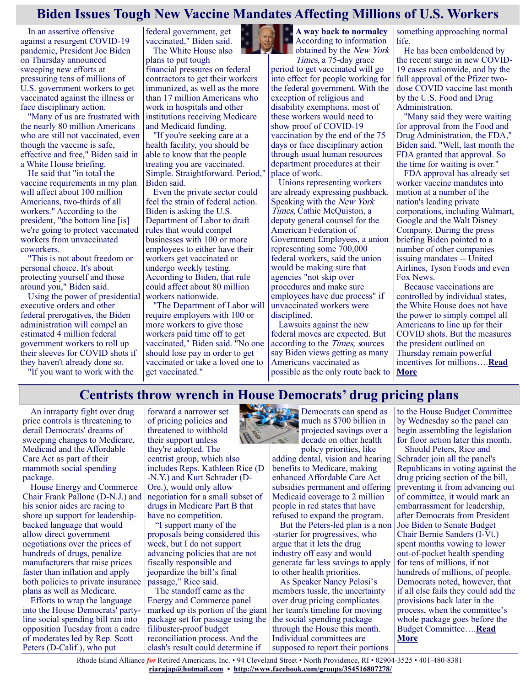## **Biden Issues Tough New Vaccine Mandates Affecting Millions of U.S. Workers**

In an assertive offensive against a resurgent COVID-19 pandemic, President Joe Biden on Thursday announced sweeping new efforts at pressuring tens of millions of U.S. government workers to get vaccinated against the illness or face disciplinary action.

"Many of us are frustrated with the nearly 80 million Americans who are still not vaccinated, even though the vaccine is safe, effective and free," Biden said in a White House briefing.

He said that "in total the vaccine requirements in my plan will affect about 100 million Americans, two-thirds of all workers." According to the president, "the bottom line [is] we're going to protect vaccinated workers from unvaccinated coworkers.

"This is not about freedom or personal choice. It's about protecting yourself and those around you," Biden said.

Using the power of presidential executive orders and other federal prerogatives, the Biden administration will compel an estimated 4 million federal government workers to roll up their sleeves for COVID shots if they haven't already done so.

"If you want to work with the

federal government, get vaccinated," Biden said. The White House also

plans to put tough financial pressures on federal contractors to get their workers immunized, as well as the more than 17 million Americans who work in hospitals and other institutions receiving Medicare and Medicaid funding.

"If you're seeking care at a health facility, you should be able to know that the people treating you are vaccinated. Simple. Straightforward. Period," Biden said.

Even the private sector could feel the strain of federal action. Biden is asking the U.S. Department of Labor to draft rules that would compel businesses with 100 or more employees to either have their workers get vaccinated or undergo weekly testing. According to Biden, that rule could affect about 80 million workers nationwide.

"The Department of Labor will require employers with 100 or more workers to give those workers paid time off to get vaccinated," Biden said. "No one should lose pay in order to get vaccinated or take a loved one to get vaccinated."



**A way back to normalcy** According to information obtained by the New York

Times, a 75-day grace period to get vaccinated will go into effect for people working for the federal government. With the exception of religious and disability exemptions, most of these workers would need to show proof of COVID-19 vaccination by the end of the 75 days or face disciplinary action through usual human resources department procedures at their place of work.

Unions representing workers are already expressing pushback. Speaking with the New York Times, Cathie McQuiston, a deputy general counsel for the American Federation of Government Employees, a union representing some 700,000 federal workers, said the union would be making sure that agencies "not skip over procedures and make sure employees have due process" if unvaccinated workers were disciplined.

Lawsuits against the new federal moves are expected. But according to the Times, sources say Biden views getting as many Americans vaccinated as possible as the only route back to something approaching normal life.

He has been emboldened by the recent surge in new COVID-19 cases nationwide, and by the full approval of the Pfizer twodose COVID vaccine last month by the U.S. Food and Drug Administration.

"Many said they were waiting for approval from the Food and Drug Administration, the FDA," Biden said. "Well, last month the FDA granted that approval. So the time for waiting is over."

FDA approval has already set worker vaccine mandates into motion at a number of the nation's leading private corporations, including Walmart, Google and the Walt Disney Company. During the press briefing Biden pointed to a number of other companies issuing mandates -- United Airlines, Tyson Foods and even Fox News.

Because vaccinations are controlled by individual states, the White House does not have the power to simply compel all Americans to line up for their COVID shots. But the measures the president outlined on Thursday remain powerful incentives for millions….**[Read](https://consumer.healthday.com/9-9-biden-announces-tough-new-vaccine-mandates-for-millions-of-government-workers-2654958261.html)  [More](https://consumer.healthday.com/9-9-biden-announces-tough-new-vaccine-mandates-for-millions-of-government-workers-2654958261.html)**

## **Centrists throw wrench in House Democrats' drug pricing plans**

An intraparty fight over drug price controls is threatening to derail Democrats' dreams of sweeping changes to Medicare, Medicaid and the Affordable Care Act as part of their mammoth social spending package.

House Energy and Commerce Chair Frank Pallone (D-N.J.) and his senior aides are racing to shore up support for leadershipbacked language that would allow direct government negotiations over the prices of hundreds of drugs, penalize manufacturers that raise prices faster than inflation and apply both policies to private insurance plans as well as Medicare.

Efforts to wrap the language into the House Democrats' partyline social spending bill ran into opposition Tuesday from a cadre of moderates led by Rep. Scott Peters (D-Calif.), who put

forward a narrower set of pricing policies and threatened to withhold their support unless they're adopted. The centrist group, which also includes Reps. Kathleen Rice (D -N.Y.) and Kurt Schrader (D-Ore.), would only allow negotiation for a small subset of drugs in Medicare Part B that have no competition.

"I support many of the proposals being considered this week, but I do not support advancing policies that are not fiscally responsible and jeopardize the bill's final passage," Rice said.

The standoff came as the Energy and Commerce panel marked up its portion of the giant her team's timeline for moving package set for passage using the filibuster-proof budget reconciliation process. And the clash's result could determine if



Democrats can spend as much as \$700 billion in projected savings over a decade on other health policy priorities, like

adding dental, vision and hearing benefits to Medicare, making enhanced Affordable Care Act subsidies permanent and offering Medicaid coverage to 2 million people in red states that have refused to expand the program.

But the Peters-led plan is a non -starter for progressives, who argue that it lets the drug industry off easy and would generate far less savings to apply to other health priorities.

As Speaker Nancy Pelosi's members tussle, the uncertainty over drug pricing complicates the social spending package through the House this month. Individual committees are supposed to report their portions

to the House Budget Committee by Wednesday so the panel can begin assembling the legislation for floor action later this month.

Should Peters, Rice and Schrader join all the panel's Republicans in voting against the drug pricing section of the bill, preventing it from advancing out of committee, it would mark an embarrassment for leadership, after Democrats from President Joe Biden to Senate Budget Chair Bernie Sanders (I-Vt.) spent months vowing to lower out-of-pocket health spending for tens of millions, if not hundreds of millions, of people. Democrats noted, however, that if all else fails they could add the provisions back later in the process, when the committee's whole package goes before the Budget Committee….**[Read](https://www.politico.com/news/2021/09/14/centrists-house-democrats-drug-pricing-511798)  [More](https://www.politico.com/news/2021/09/14/centrists-house-democrats-drug-pricing-511798)**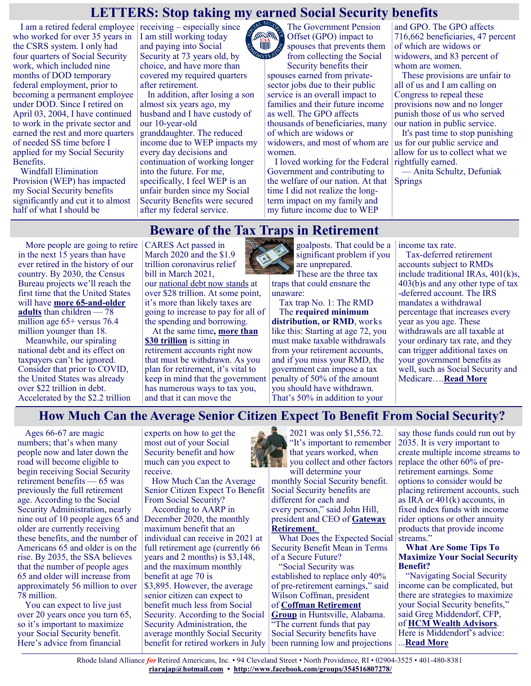### **LETTERS: Stop taking my earned Social Security benefits**

**VIIII)** 

I am a retired federal employee receiving – especially since who worked for over 35 years in the CSRS system. I only had four quarters of Social Security work, which included nine months of DOD temporary federal employment, prior to becoming a permanent employee under DOD. Since I retired on April 03, 2004, I have continued to work in the private sector and earned the rest and more quarters of needed SS time before I applied for my Social Security Benefits.

Windfall Elimination Provision (WEP) has impacted my Social Security benefits significantly and cut it to almost half of what I should be

I am still working today and paying into Social Security at 73 years old, by choice, and have more than covered my required quarters after retirement.

In addition, after losing a son almost six years ago, my husband and I have custody of our 10-year-old granddaughter. The reduced income due to WEP impacts my every day decisions and continuation of working longer into the future. For me, specifically, I feel WEP is an unfair burden since my Social Security Benefits were secured after my federal service.

The Government Pension Offset (GPO) impact to spouses that prevents them INISTRAT from collecting the Social Security benefits their

spouses earned from privatesector jobs due to their public service is an overall impact to families and their future income as well. The GPO affects thousands of beneficiaries, many of which are widows or widowers, and most of whom are women.

I loved working for the Federal Government and contributing to the welfare of our nation. At that time I did not realize the longterm impact on my family and my future income due to WEP

and GPO. The GPO affects 716,662 beneficiaries, 47 percent of which are widows or widowers, and 83 percent of whom are women.

These provisions are unfair to all of us and I am calling on Congress to repeal these provisions now and no longer punish those of us who served our nation in public service.

It's past time to stop punishing us for our public service and allow for us to collect what we rightfully earned.

— Anita Schultz, Defuniak Springs

### **Beware of the Tax Traps in Retirement**

More people are going to retire in the next 15 years than have ever retired in the history of our country. By 2030, the Census Bureau projects we'll reach the first time that the United States will have **[more 65](https://www.aarp.org/home-family/friends-family/info-2018/census-baby-boomers-fd.html)-and-older [adults](https://www.aarp.org/home-family/friends-family/info-2018/census-baby-boomers-fd.html)** than children — 78 million age 65+ versus 76.4 million younger than 18.

Meanwhile, our spiraling national debt and its effect on taxpayers can't be ignored. Consider that prior to COVID, the United States was already over \$22 trillion in debt. Accelerated by the \$2.2 trillion CARES Act passed in March 2020 and the \$1.9 trillion coronavirus relief bill in March 2021,

our [national debt now stands](https://www.statista.com/statistics/273294/public-debt-of-the-united-states-by-month/) at over \$28 trillion. At some point, it's more than likely taxes are going to increase to pay for all of the spending and borrowing.

At the same time**, [more than](https://www.forbes.com/sites/markhall/2019/11/11/the-greatest-wealth-transfer-in-history-whats-happening-and-what-are-the-implications/?sh=77e881404090)  [\\$30 trillion](https://www.forbes.com/sites/markhall/2019/11/11/the-greatest-wealth-transfer-in-history-whats-happening-and-what-are-the-implications/?sh=77e881404090)** is sitting in retirement accounts right now that must be withdrawn. As you plan for retirement, it's vital to keep in mind that the government has numerous ways to tax you, and that it can move the



goalposts. That could be a significant problem if you are unprepared.

These are the three tax traps that could ensnare the unaware:

Tax trap No. 1: The RMD The **[required minimum](https://www.kiplinger.com/retirement/retirement-plans/required-minimum-distributions-rmds)  [distribution, or RMD](https://www.kiplinger.com/retirement/retirement-plans/required-minimum-distributions-rmds)**, works like this: Starting at age 72, you must make taxable withdrawals from your retirement accounts, and if you miss your RMD, the government can impose a tax penalty of 50% of the amount you should have withdrawn. That's 50% in addition to your

income tax rate.

Tax-deferred retirement accounts subject to RMDs include traditional IRAs, 401(k)s, 403(b)s and any other type of tax -deferred account. The IRS mandates a withdrawal percentage that increases every year as you age. These withdrawals are all taxable at your ordinary tax rate, and they can trigger additional taxes on your government benefits as well, such as Social Security and Medicare….**[Read More](https://www.msn.com/en-us/money/personalfinance/beware-of-the-tax-traps-in-retirement/ar-AAOfzPE?ocid=SK2DDHP)**

### **How Much Can the Average Senior Citizen Expect To Benefit From Social Security?**

Ages 66-67 are magic numbers; that's when many people now and later down the road will become eligible to begin receiving Social Security retirement benefits — 65 was previously the full retirement age. According to the Social Security Administration, nearly nine out of 10 people ages 65 and December 2020, the monthly older are currently receiving these benefits, and the number of Americans 65 and older is on the rise. By 2035, the SSA believes that the number of people ages 65 and older will increase from approximately 56 million to over 78 million.

You can expect to live just over 20 years once you turn 65, so it's important to maximize your Social Security benefit. Here's advice from financial

experts on how to get the most out of your Social Security benefit and how much can you expect to receive.

How Much Can the Average Senior Citizen Expect To Benefit From Social Security?

According to AARP in maximum benefit that an individual can receive in 2021 at full retirement age (currently 66 years and 2 months) is \$3,148, and the maximum monthly benefit at age 70 is \$3,895. However, the average senior citizen can expect to benefit much less from Social Security. According to the Social Security Administration, the average monthly Social Security benefit for retired workers in July

2021 was only \$1,556.72. "It's important to remember that years worked, when you collect and other factors will determine your

monthly Social Security benefit. Social Security benefits are different for each and every person," said John Hill, president and CEO of **[Gateway](https://gatewayretirement.com/)  [Retirement](https://gatewayretirement.com/)**.

What Does the Expected Social Security Benefit Mean in Terms of a Secure Future?

"Social Security was established to replace only 40% of pre-retirement earnings," said Wilson Coffman, president

### of **[Coffman Retirement](https://coffmanretirementgroup.com/)  [Group](https://coffmanretirementgroup.com/)** in Huntsville, Alabama.

"The current funds that pay Social Security benefits have been running low and projections

say those funds could run out by 2035. It is very important to create multiple income streams to replace the other 60% of preretirement earnings. Some options to consider would be placing retirement accounts, such as IRA or  $401(k)$  accounts, in fixed index funds with income rider options or other annuity products that provide income streams."

### **What Are Some Tips To Maximize Your Social Security Benefit?**

"Navigating Social Security income can be complicated, but there are strategies to maximize your Social Security benefits," said Greg Middendorf, CFP, of **[HCM Wealth Advisors](https://hcmwealthadvisors.com/)**. Here is Middendorf's advice: ...**[Read More](https://www.msn.com/en-us/money/retirement/how-much-can-the-average-senior-citizen-expect-to-benefit-from-social-security/ar-AAOdCqe?ocid=SK2DDHP)**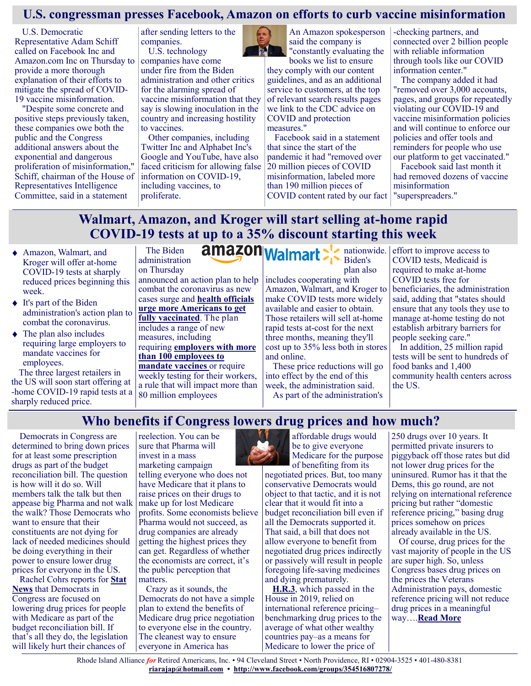## **U.S. congressman presses Facebook, Amazon on efforts to curb vaccine misinformation**

U.S. Democratic Representative Adam Schiff called on Facebook Inc and Amazon.com Inc on Thursday to provide a more thorough explanation of their efforts to mitigate the spread of COVID-19 vaccine misinformation.

"Despite some concrete and positive steps previously taken, these companies owe both the public and the Congress additional answers about the exponential and dangerous proliferation of misinformation," Schiff, chairman of the House of Representatives Intelligence Committee, said in a statement

after sending letters to the companies. U.S. technology

companies have come under fire from the Biden administration and other critics for the alarming spread of vaccine misinformation that they say is slowing inoculation in the country and increasing hostility to vaccines.

Other companies, including Twitter Inc and Alphabet Inc's Google and YouTube, have also faced criticism for allowing false information on COVID-19, including vaccines, to proliferate.



An Amazon spokesperson said the company is "constantly evaluating the books we list to ensure

they comply with our content guidelines, and as an additional service to customers, at the top of relevant search results pages we link to the CDC advice on COVID and protection measures."

Facebook said in a statement that since the start of the pandemic it had "removed over 20 million pieces of COVID misinformation, labeled more than 190 million pieces of COVID content rated by our fact

-checking partners, and connected over 2 billion people with reliable information through tools like our COVID information center."

The company added it had "removed over 3,000 accounts, pages, and groups for repeatedly violating our COVID-19 and vaccine misinformation policies and will continue to enforce our policies and offer tools and reminders for people who use our platform to get vaccinated."

Facebook said last month it had removed dozens of vaccine misinformation "superspreaders."

# **Walmart, Amazon, and Kroger will start selling at-home rapid COVID-19 tests at up to a 35% discount starting this week**

- Amazon, Walmart, and Kroger will offer at-home COVID-19 tests at sharply reduced prices beginning this week.
- ◆ It's part of the Biden administration's action plan to combat the coronavirus.
- The plan also includes requiring large employers to mandate vaccines for employees.

The three largest retailers in the US will soon start offering at -home COVID-19 rapid tests at a sharply reduced price.

administration on Thursday announced an action plan to help combat the coronavirus as new cases surge and **[health officials](https://www.businessinsider.com/fauci-says-us-doctors-may-have-to-prioritize-icu-beds-2021-9)  [urge more Americans to get](https://www.businessinsider.com/fauci-says-us-doctors-may-have-to-prioritize-icu-beds-2021-9)  [fully vaccinated](https://www.businessinsider.com/fauci-says-us-doctors-may-have-to-prioritize-icu-beds-2021-9)**. The plan includes a range of new measures, including requiring **[employers with more](https://www.businessinsider.com/biden-announce-employers-with-over-100-employees-to-mandate-vaccines-2021-9)  [than 100 employees to](https://www.businessinsider.com/biden-announce-employers-with-over-100-employees-to-mandate-vaccines-2021-9)  [mandate vaccines](https://www.businessinsider.com/biden-announce-employers-with-over-100-employees-to-mandate-vaccines-2021-9)** or require weekly testing for their workers, a rule that will impact more than 80 million employees

The Biden

Biden's plan also includes cooperating with Amazon, Walmart, and Kroger to make COVID tests more widely available and easier to obtain. Those retailers will sell at-home rapid tests at-cost for the next three months, meaning they'll cost up to 35% less both in stores and online.

nationwide.

These price reductions will go into effect by the end of this week, the administration said. As part of the administration's

effort to improve access to COVID tests, Medicaid is required to make at-home COVID tests free for beneficiaries, the administration said, adding that "states should ensure that any tools they use to manage at-home testing do not establish arbitrary barriers for people seeking care."

In addition, 25 million rapid tests will be sent to hundreds of food banks and 1,400 community health centers across the US.

## **Who benefits if Congress lowers drug prices and how much?**

Democrats in Congress are determined to bring down prices for at least some prescription drugs as part of the budget reconciliation bill. The question is how will it do so. Will members talk the talk but then appease big Pharma and not walk the walk? Those Democrats who want to ensure that their constituents are not dying for lack of needed medicines should be doing everything in their power to ensure lower drug prices for everyone in the US.

Rachel Cohrs reports for **[Stat](https://www.statnews.com/2021/09/03/democrats-medicare-negotiate-drug-prices-pharma-lessen-the-blow/)  [News](https://www.statnews.com/2021/09/03/democrats-medicare-negotiate-drug-prices-pharma-lessen-the-blow/)** that Democrats in Congress are focused on lowering drug prices for people with Medicare as part of the budget reconciliation bill. If that's all they do, the legislation will likely hurt their chances of

reelection. You can be sure that Pharma will invest in a mass marketing campaign telling everyone who does not have Medicare that it plans to raise prices on their drugs to make up for lost Medicare profits. Some economists believe Pharma would not succeed, as drug companies are already getting the highest prices they can get. Regardless of whether the economists are correct, it's the public perception that matters.

Crazy as it sounds, the Democrats do not have a simple plan to extend the benefits of Medicare drug price negotiation to everyone else in the country. The cleanest way to ensure everyone in America has



affordable drugs would be to give everyone Medicare for the purpose of benefiting from its

negotiated prices. But, too many conservative Democrats would object to that tactic, and it is not clear that it would fit into a budget reconciliation bill even if all the Democrats supported it. That said, a bill that does not allow everyone to benefit from negotiated drug prices indirectly or passively will result in people foregoing life-saving medicines and dying prematurely.

**[H.R.3](https://justcareusa.org/pelosi-drug-proposal-would-bring-down-drug-prices/)**, which passed in the House in 2019, relied on international reference pricing– benchmarking drug prices to the average of what other wealthy countries pay–as a means for Medicare to lower the price of

250 drugs over 10 years. It permitted private insurers to piggyback off those rates but did not lower drug prices for the uninsured. Rumor has it that the Dems, this go round, are not relying on international reference pricing but rather "domestic reference pricing," basing drug prices somehow on prices already available in the US.

Of course, drug prices for the vast majority of people in the US are super high. So, unless Congress bases drug prices on the prices the Veterans Administration pays, domestic reference pricing will not reduce drug prices in a meaningful way….**[Read More](https://justcareusa.org/who-benefits-if-congress-lowers-drug-prices-and-how-much/)**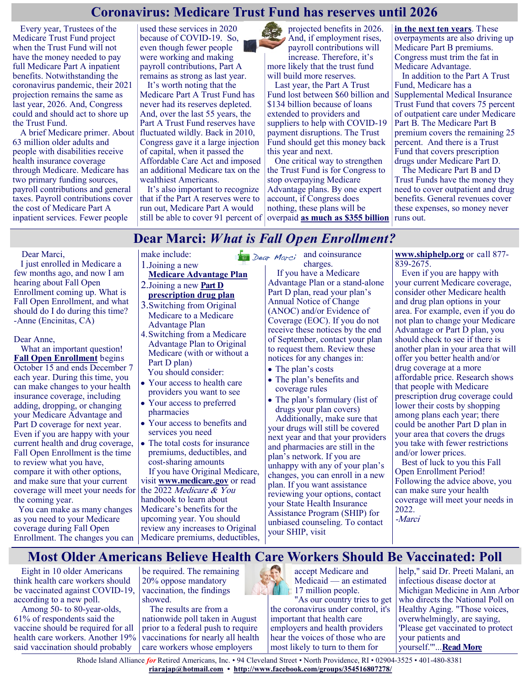### **Coronavirus: Medicare Trust Fund has reserves until 2026**

Every year, Trustees of the Medicare Trust Fund project when the Trust Fund will not have the money needed to pay full Medicare Part A inpatient benefits. Notwithstanding the coronavirus pandemic, their 2021 projection remains the same as last year, 2026. And, Congress could and should act to shore up the Trust Fund.

A brief Medicare primer. About 63 million older adults and people with disabilities receive health insurance coverage through Medicare. Medicare has two primary funding sources, payroll contributions and general taxes. Payroll contributions cover the cost of Medicare Part A inpatient services. Fewer people

used these services in 2020 because of COVID-19. So, even though fewer people were working and making payroll contributions, Part A remains as strong as last year.

It's worth noting that the Medicare Part A Trust Fund has never had its reserves depleted. And, over the last 55 years, the Part A Trust Fund reserves have fluctuated wildly. Back in 2010, Congress gave it a large injection of capital, when it passed the Affordable Care Act and imposed an additional Medicare tax on the wealthiest Americans.

It's also important to recognize that if the Part A reserves were to run out, Medicare Part A would still be able to cover 91 percent of

projected benefits in 2026. And, if employment rises, payroll contributions will increase. Therefore, it's more likely that the trust fund will build more reserves.

Last year, the Part A Trust Fund lost between \$60 billion and \$134 billion because of loans extended to providers and suppliers to help with COVID-19 payment disruptions. The Trust Fund should get this money back this year and next.

One critical way to strengthen the Trust Fund is for Congress to stop overpaying Medicare Advantage plans. By one expert account, if Congress does nothing, these plans will be overpaid **[as much as \\$355 billion](https://www.crfb.org/papers/reducing-medicare-advantage-overpayments)** 

**[in the next ten years](https://www.crfb.org/papers/reducing-medicare-advantage-overpayments)**. These overpayments are also driving up Medicare Part B premiums. Congress must trim the fat in Medicare Advantage.

In addition to the Part A Trust Fund, Medicare has a Supplemental Medical Insurance Trust Fund that covers 75 percent of outpatient care under Medicare Part B. The Medicare Part B premium covers the remaining 25 percent. And there is a Trust Fund that covers prescription drugs under Medicare Part D.

The Medicare Part B and D Trust Funds have the money they need to cover outpatient and drug benefits. General revenues cover these expenses, so money never runs out.

# **Dear Marci:** *What is Fall Open Enrollment?*

### Dear Marci,

 I just enrolled in Medicare a few months ago, and now I am hearing about Fall Open Enrollment coming up. What is Fall Open Enrollment, and what should do I do during this time? -Anne (Encinitas, CA)

### Dear Anne,

 What an important question! **[Fall Open Enrollment](https://medicarerights.us15.list-manage.com/track/click?u=1621f54a596f3717c22815356&id=72b4f94783&e=88d22ba1fe)** begins October 15 and ends December 7 each year. During this time, you can make changes to your health insurance coverage, including adding, dropping, or changing your Medicare Advantage and Part D coverage for next year. Even if you are happy with your current health and drug coverage, Fall Open Enrollment is the time to review what you have, compare it with other options, and make sure that your current coverage will meet your needs for the coming year.

You can make as many changes as you need to your Medicare coverage during Fall Open Enrollment. The changes you can Medicare premiums, deductibles,

### make include:

- 1.Joining a new
- **[Medicare Advantage Plan](https://medicarerights.us15.list-manage.com/track/click?u=1621f54a596f3717c22815356&id=fe8d75b7af&e=88d22ba1fe)**
- 2.Joining a new **[Part D](https://medicarerights.us15.list-manage.com/track/click?u=1621f54a596f3717c22815356&id=690cb436b9&e=88d22ba1fe)  [prescription drug plan](https://medicarerights.us15.list-manage.com/track/click?u=1621f54a596f3717c22815356&id=690cb436b9&e=88d22ba1fe)**
- 3.Switching from Original Medicare to a Medicare Advantage Plan
- 4.Switching from a Medicare Advantage Plan to Original Medicare (with or without a Part D plan)
- You should consider:
- Your access to health care providers you want to see
- Your access to preferred pharmacies
- Your access to benefits and services you need
- The total costs for insurance premiums, deductibles, and cost-sharing amounts

If you have Original Medicare, visit **[www.medicare.gov](https://medicarerights.us15.list-manage.com/track/click?u=1621f54a596f3717c22815356&id=769d881409&e=88d22ba1fe)** or read the 2022 Medicare & You handbook to learn about Medicare's benefits for the upcoming year. You should review any increases to Original

 $\frac{a}{2}$  Dear Marci and coinsurance charges.

 If you have a Medicare Advantage Plan or a stand-alone Part D plan, read your plan's Annual Notice of Change (ANOC) and/or Evidence of Coverage (EOC). If you do not receive these notices by the end of September, contact your plan to request them. Review these notices for any changes in:

- The plan's costs
- The plan's benefits and coverage rules
- The plan's formulary (list of drugs your plan covers)

Additionally, make sure that your drugs will still be covered next year and that your providers and pharmacies are still in the plan's network. If you are unhappy with any of your plan's changes, you can enroll in a new plan. If you want assistance reviewing your options, contact your State Health Insurance Assistance Program (SHIP) for unbiased counseling. To contact your SHIP, visit

**[www.shiphelp.org](https://medicarerights.us15.list-manage.com/track/click?u=1621f54a596f3717c22815356&id=0866219c58&e=88d22ba1fe)** or call 877- 839-2675.

 Even if you are happy with your current Medicare coverage, consider other Medicare health and drug plan options in your area. For example, even if you do not plan to change your Medicare Advantage or Part D plan, you should check to see if there is another plan in your area that will offer you better health and/or drug coverage at a more affordable price. Research shows that people with Medicare prescription drug coverage could lower their costs by shopping among plans each year; there could be another Part D plan in your area that covers the drugs you take with fewer restrictions and/or lower prices. Best of luck to you this Fall

Open Enrollment Period! Following the advice above, you can make sure your health coverage will meet your needs in 2022. -Marci

## **Most Older Americans Believe Health Care Workers Should Be Vaccinated: Poll**

Eight in 10 older Americans think health care workers should be vaccinated against COVID-19, according to a new poll.

Among 50- to 80-year-olds, 61% of respondents said the vaccine should be required for all health care workers. Another 19% said vaccination should probably

be required. The remaining 20% oppose mandatory vaccination, the findings showed.

The results are from a nationwide poll taken in August prior to a federal push to require vaccinations for nearly all health care workers whose employers

accept Medicare and Medicaid — an estimated 17 million people.

"As our country tries to get the coronavirus under control, it's important that health care employers and health providers hear the voices of those who are most likely to turn to them for

help," said Dr. Preeti Malani, an infectious disease doctor at Michigan Medicine in Ann Arbor who directs the National Poll on Healthy Aging. "Those voices, overwhelmingly, are saying, 'Please get vaccinated to protect your patients and yourself.'"...**[Read More](https://consumer.healthday.com/b-9-14-most-americans-think-health-care-workers-should-get-covid-vaccines-poll-2655008557.html)**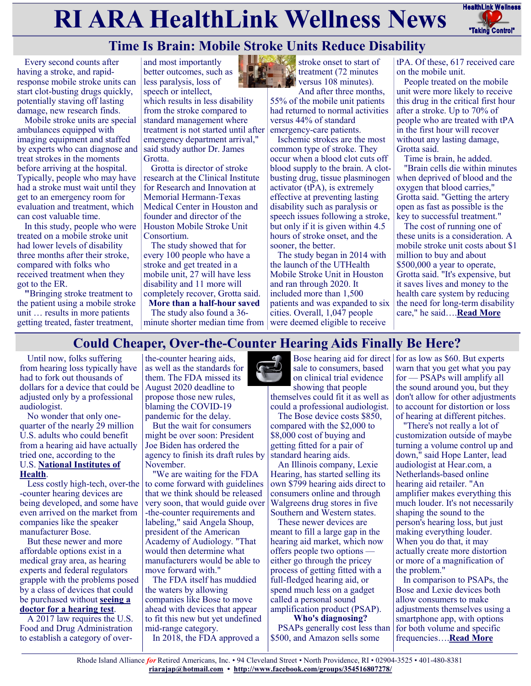# **RI ARA HealthLink Wellness News** Fractific Link Wellness



# **Time Is Brain: Mobile Stroke Units Reduce Disability**

Every second counts after having a stroke, and rapidresponse mobile stroke units can start clot-busting drugs quickly, potentially staving off lasting damage, new research finds.

Mobile stroke units are special ambulances equipped with imaging equipment and staffed by experts who can diagnose and said study author Dr. James treat strokes in the moments before arriving at the hospital. Typically, people who may have had a stroke must wait until they get to an emergency room for evaluation and treatment, which can cost valuable time.

In this study, people who were treated on a mobile stroke unit had lower levels of disability three months after their stroke, compared with folks who received treatment when they got to the ER.

**"**Bringing stroke treatment to the patient using a mobile stroke unit … results in more patients getting treated, faster treatment,

and most importantly better outcomes, such as less paralysis, loss of speech or intellect,

which results in less disability from the stroke compared to standard management where treatment is not started until after emergency department arrival," Grotta.

Grotta is director of stroke research at the Clinical Institute for Research and Innovation at Memorial Hermann-Texas Medical Center in Houston and founder and director of the Houston Mobile Stroke Unit Consortium.

The study showed that for every 100 people who have a stroke and get treated in a mobile unit, 27 will have less disability and 11 more will completely recover, Grotta said.

**More than a half-hour saved** The study also found a 36 minute shorter median time from



stroke onset to start of treatment (72 minutes versus 108 minutes).

And after three months, 55% of the mobile unit patients had returned to normal activities versus 44% of standard emergency-care patients.

Ischemic strokes are the most common type of stroke. They occur when a blood clot cuts off blood supply to the brain. A clotbusting drug, tissue plasminogen activator (tPA), is extremely effective at preventing lasting disability such as paralysis or speech issues following a stroke, but only if it is given within 4.5 hours of stroke onset, and the sooner, the better.

The study began in 2014 with the launch of the UTHealth Mobile Stroke Unit in Houston and ran through 2020. It included more than 1,500 patients and was expanded to six cities. Overall, 1,047 people were deemed eligible to receive

tPA. Of these, 617 received care on the mobile unit.

People treated on the mobile unit were more likely to receive this drug in the critical first hour after a stroke. Up to 70% of people who are treated with tPA in the first hour will recover without any lasting damage, Grotta said.

Time is brain, he added.

"Brain cells die within minutes when deprived of blood and the oxygen that blood carries," Grotta said. "Getting the artery open as fast as possible is the key to successful treatment."

The cost of running one of these units is a consideration. A mobile stroke unit costs about \$1 million to buy and about \$500,000 a year to operate, Grotta said. "It's expensive, but it saves lives and money to the health care system by reducing the need for long-term disability care," he said….**[Read More](https://consumer.healthday.com/9-9-time-is-brain-mobile-stroke-units-cut-long-term-disability-study-finds-2654894576.html)**

# **Could Cheaper, Over-the-Counter Hearing Aids Finally Be Here?**

Until now, folks suffering from hearing loss typically have had to fork out thousands of dollars for a device that could be adjusted only by a professional audiologist.

No wonder that only onequarter of the nearly 29 million U.S. adults who could benefit from a hearing aid have actually tried one, according to the U.S. **[National Institutes of](https://www.nidcd.nih.gov/health/statistics/quick-statistics-hearing)  [Health](https://www.nidcd.nih.gov/health/statistics/quick-statistics-hearing)**.

Less costly high-tech, over-the -counter hearing devices are being developed, and some have even arrived on the market from companies like the speaker manufacturer Bose.

But these newer and more affordable options exist in a medical gray area, as hearing experts and federal regulators grapple with the problems posed by a class of devices that could be purchased without **[seeing a](https://consumer.healthday.com/b-3-2-most-older-americans-need-hearing-checks-but-arent-getting-them-2650794222.html)  [doctor for a hearing test](https://consumer.healthday.com/b-3-2-most-older-americans-need-hearing-checks-but-arent-getting-them-2650794222.html)**.

A 2017 law requires the U.S. Food and Drug Administration to establish a category of over-

the-counter hearing aids, as well as the standards for them. The FDA missed its August 2020 deadline to propose those new rules, blaming the COVID-19 pandemic for the delay.

But the wait for consumers might be over soon: President Joe Biden has ordered the agency to finish its draft rules by November.

"We are waiting for the FDA to come forward with guidelines that we think should be released very soon, that would guide over -the-counter requirements and labeling," said Angela Shoup, president of the American Academy of Audiology. "That would then determine what manufacturers would be able to move forward with."

The FDA itself has muddied the waters by allowing companies like Bose to move ahead with devices that appear to fit this new but yet undefined mid-range category.

In 2018, the FDA approved a

sale to consumers, based on clinical trial evidence showing that people

themselves could fit it as well as could a professional audiologist. The Bose device costs \$850,

compared with the \$2,000 to \$8,000 cost of buying and getting fitted for a pair of standard hearing aids.

An Illinois company, Lexie Hearing, has started selling its own \$799 hearing aids direct to consumers online and through Walgreens drug stores in five Southern and Western states.

These newer devices are meant to fill a large gap in the hearing aid market, which now offers people two options either go through the pricey process of getting fitted with a full-fledged hearing aid, or spend much less on a gadget called a personal sound amplification product (PSAP).

**Who's diagnosing?** PSAPs generally cost less than \$500, and Amazon sells some

Bose hearing aid for direct for as low as \$60. But experts warn that you get what you pay for — PSAPs will amplify all the sound around you, but they don't allow for other adjustments to account for distortion or loss of hearing at different pitches.

"There's not really a lot of customization outside of maybe turning a volume control up and down," said Hope Lanter, lead audiologist at Hear.com, a Netherlands-based online hearing aid retailer. "An amplifier makes everything this much louder. It's not necessarily shaping the sound to the person's hearing loss, but just making everything louder. When you do that, it may actually create more distortion or more of a magnification of the problem."

In comparison to PSAPs, the Bose and Lexie devices both allow consumers to make adjustments themselves using a smartphone app, with options for both volume and specific frequencies….**[Read More](https://consumer.healthday.com/8-18-why-is-fda-stalling-on-sale-of-cheaper-sleeker-hearing-aids-2654599025.html)**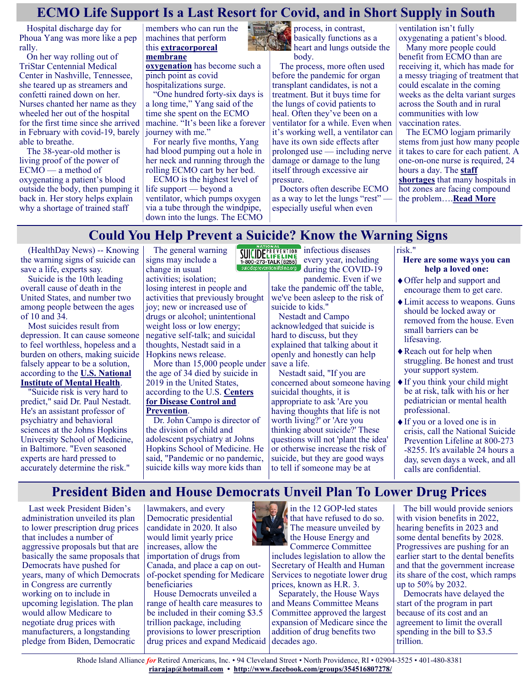# **ECMO Life Support Is a Last Resort for Covid, and in Short Supply in South**

Hospital discharge day for Phoua Yang was more like a pep rally.

On her way rolling out of TriStar Centennial Medical Center in Nashville, Tennessee, she teared up as streamers and confetti rained down on her. Nurses chanted her name as they wheeled her out of the hospital for the first time since she arrived in February with covid-19, barely able to breathe.

The 38-year-old mother is living proof of the power of ECMO — a method of oxygenating a patient's blood outside the body, then pumping it back in. Her story helps explain why a shortage of trained staff

members who can run the machines that perform this **[extracorporeal](https://www.ucsfhealth.org/treatments/extracorporeal-membrane-oxygenation)  [membrane](https://www.ucsfhealth.org/treatments/extracorporeal-membrane-oxygenation)** 

**[oxygenation](https://www.ucsfhealth.org/treatments/extracorporeal-membrane-oxygenation)** has become such a pinch point as covid hospitalizations surge.

"One hundred forty-six days is a long time," Yang said of the time she spent on the ECMO machine. "It's been like a forever journey with me."

For nearly five months, Yang had blood pumping out a hole in her neck and running through the rolling ECMO cart by her bed.

ECMO is the highest level of life support — beyond a ventilator, which pumps oxygen via a tube through the windpipe, down into the lungs. The ECMO

The general warning



basically functions as a heart and lungs outside the body.

The process, more often used before the pandemic for organ transplant candidates, is not a treatment. But it buys time for the lungs of covid patients to heal. Often they've been on a ventilator for a while. Even when it's working well, a ventilator can have its own side effects after prolonged use — including nerve damage or damage to the lung itself through excessive air pressure.

Doctors often describe ECMO as a way to let the lungs "rest" especially useful when even

ventilation isn't fully oxygenating a patient's blood.

Many more people could benefit from ECMO than are receiving it, which has made for a messy triaging of treatment that could escalate in the coming weeks as the delta variant surges across the South and in rural communities with low vaccination rates.

The ECMO logjam primarily stems from just how many people it takes to care for each patient. A one-on-one nurse is required, 24 hours a day. The **[staff](https://www.npr.org/2021/08/10/1026577164/hospitals-face-a-shortage-of-nurses-as-covid-cases-soar)  [shortages](https://www.npr.org/2021/08/10/1026577164/hospitals-face-a-shortage-of-nurses-as-covid-cases-soar)** that many hospitals in hot zones are facing compound the problem….**[Read More](https://khn.org/news/article/ecmo-life-support-is-a-last-resort-for-covid-and-in-short-supply-in-south/)**

# **Could You Help Prevent a Suicide? Know the Warning Signs**

(HealthDay News) -- Knowing the warning signs of suicide can save a life, experts say.

Suicide is the 10th leading overall cause of death in the United States, and number two among people between the ages of 10 and 34.

Most suicides result from depression. It can cause someone to feel worthless, hopeless and a burden on others, making suicide falsely appear to be a solution, according to the **[U.S. National](https://www.nimh.nih.gov/health/statistics/suicide?ref=hackernoon.com)  [Institute of Mental Health](https://www.nimh.nih.gov/health/statistics/suicide?ref=hackernoon.com)**.

"Suicide risk is very hard to predict," said Dr. Paul Nestadt. He's an assistant professor of psychiatry and behavioral sciences at the Johns Hopkins University School of Medicine, in Baltimore. "Even seasoned experts are hard pressed to accurately determine the risk."

signs may include a change in usual activities; isolation; losing interest in people and activities that previously brought joy; new or increased use of drugs or alcohol; unintentional weight loss or low energy; negative self-talk; and suicidal thoughts, Nestadt said in a Hopkins news release.

More than 15,000 people under the age of 34 died by suicide in 2019 in the United States, according to the U.S. **[Centers](https://www.cdc.gov/suicide/index.html)  [for Disease Control and](https://www.cdc.gov/suicide/index.html)  [Prevention](https://www.cdc.gov/suicide/index.html)**.

Dr. John Campo is director of the division of child and adolescent psychiatry at Johns Hopkins School of Medicine. He said, "Pandemic or no pandemic, suicide kills way more kids than

infectious diseases every year, including during the COVID-19 pandemic. Even if we

take the pandemic off the table, we've been asleep to the risk of suicide to kids."

Nestadt and Campo acknowledged that suicide is hard to discuss, but they explained that talking about it openly and honestly can help save a life.

Nestadt said, "If you are concerned about someone having suicidal thoughts, it is appropriate to ask 'Are you having thoughts that life is not worth living?' or 'Are you thinking about suicide?' These questions will not 'plant the idea' or otherwise increase the risk of suicide, but they are good ways to tell if someone may be at

risk." **Here are some ways you can help a loved one:**

- Offer help and support and encourage them to get care.
- Limit access to weapons. Guns should be locked away or removed from the house. Even small barriers can be lifesaving.
- Reach out for help when struggling. Be honest and trust your support system.
- If you think your child might be at risk, talk with his or her pediatrician or mental health professional.
- If you or a loved one is in crisis, call the National Suicide Prevention Lifeline at 800-273 -8255. It's available 24 hours a day, seven days a week, and all calls are confidential.

# **President Biden and House Democrats Unveil Plan To Lower Drug Prices**

Last week President Biden's administration unveiled its plan to lower prescription drug prices that includes a number of aggressive proposals but that are basically the same proposals that Democrats have pushed for years, many of which Democrats in Congress are currently working on to include in upcoming legislation. The plan would allow Medicare to negotiate drug prices with manufacturers, a longstanding pledge from Biden, Democratic

lawmakers, and every Democratic presidential candidate in 2020. It also would limit yearly price increases, allow the importation of drugs from Canada, and place a cap on outof-pocket spending for Medicare beneficiaries

House Democrats unveiled a range of health care measures to be included in their coming \$3.5 trillion package, including provisions to lower prescription drug prices and expand Medicaid



Commerce Committee includes legislation to allow the Secretary of Health and Human Services to negotiate lower drug prices, known as H.R. 3.

Separately, the House Ways and Means Committee Means Committee approved the largest expansion of Medicare since the addition of drug benefits two decades ago.

The bill would provide seniors with vision benefits in 2022, hearing benefits in 2023 and some dental benefits by 2028. Progressives are pushing for an earlier start to the dental benefits and that the government increase its share of the cost, which ramps up to 50% by 2032.

Democrats have delayed the start of the program in part because of its cost and an agreement to limit the overall spending in the bill to \$3.5 trillion.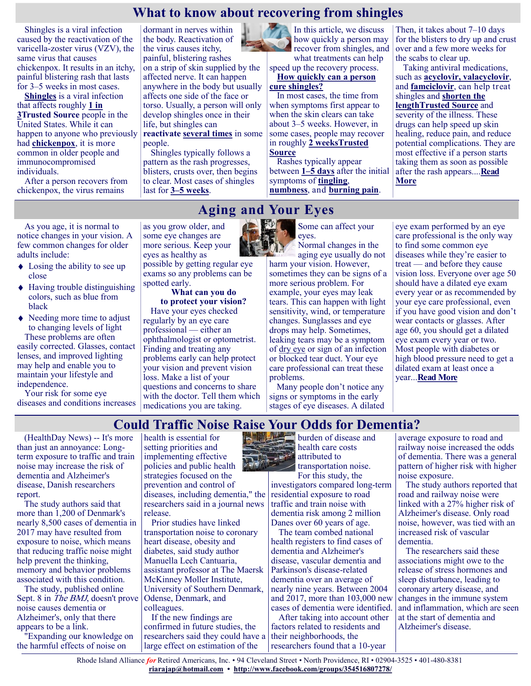### **What to know about recovering from shingles**

Shingles is a viral infection caused by the reactivation of the varicella-zoster virus (VZV), the same virus that causes chickenpox. It results in an itchy, painful blistering rash that lasts for 3–5 weeks in most cases.

**[Shingles](https://www.medicalnewstoday.com/articles/154912)** is a viral infection that affects roughly **[1 in](https://www.cdc.gov/shingles/surveillance.html)  [3Trusted Source](https://www.cdc.gov/shingles/surveillance.html)** people in the United States. While it can happen to anyone who previously had **[chickenpox](https://www.medicalnewstoday.com/articles/239450.php)**, it is more common in older people and immunocompromised individuals.

After a person recovers from chickenpox, the virus remains

As you age, it is normal to notice changes in your vision. A few common changes for older

• Losing the ability to see up

 $\triangle$  Having trouble distinguishing colors, such as blue from

• Needing more time to adjust to changing levels of light These problems are often easily corrected. Glasses, contact lenses, and improved lighting may help and enable you to maintain your lifestyle and

Your risk for some eye

adults include:

close

black

independence.

dormant in nerves within the body. Reactivation of the virus causes itchy, painful, blistering rashes on a strip of skin supplied by the affected nerve. It can happen anywhere in the body but usually affects one side of the face or torso. Usually, a person will only develop shingles once in their life, but shingles can **reactivate [several times](https://www.medicalnewstoday.com/articles/recurrent-shingles)** in some

people.

Shingles typically follows a pattern as the rash progresses, blisters, crusts over, then begins to clear. Most cases of shingles last for **[3–5 weeks](https://www.nia.nih.gov/health/shingles#how2)**.

possible by getting regular eye exams so any problems can be

**What can you do to protect your vision?** Have your eyes checked regularly by an eye care professional — either an ophthalmologist or optometrist. Finding and treating any problems early can help protect your vision and prevent vision loss. Make a list of your questions and concerns to share

as you grow older, and some eye changes are more serious. Keep your eyes as healthy as

spotted early.



how quickly a person may recover from shingles, and what treatments can help

speed up the recovery process. **How quickly can a person** 

### **cure shingles?**

In most cases, the time from when symptoms first appear to when the skin clears can take about 3–5 weeks. However, in some cases, people may recover in roughly **[2 weeksTrusted](https://www.cdc.gov/shingles/about/symptoms.html)  [Source](https://www.cdc.gov/shingles/about/symptoms.html)**

Rashes typically appear between **[1–5 days](https://www.nia.nih.gov/health/shingles#how2)** after the initial symptoms of **[tingling](https://www.medicalnewstoday.com/articles/326062)**, **[numbness](https://www.medicalnewstoday.com/articles/326062)**, and **[burning pain](https://www.medicalnewstoday.com/articles/321885)**.

Then, it takes about 7–10 days for the blisters to dry up and crust over and a few more weeks for the scabs to clear up.

Taking antiviral medications, such as **[acyclovir,](https://dailymed.nlm.nih.gov/dailymed/drugInfo.cfm?setid=0910335b-6796-459f-b97e-d7ef5439a060) [valacyclovir](https://dailymed.nlm.nih.gov/dailymed/drugInfo.cfm?setid=fa2f4056-3503-419d-a1eb-0f2474a61948)**, and **[famciclovir](https://dailymed.nlm.nih.gov/dailymed/drugInfo.cfm?setid=08c58224-5920-4853-8c59-ec5fbb66c2f6)**, can help treat shingles and **[shorten the](https://www.cdc.gov/shingles/about/treatment.html)  [lengthTrusted Source](https://www.cdc.gov/shingles/about/treatment.html)** and severity of the illness. These drugs can help speed up skin healing, reduce pain, and reduce potential complications. They are most effective if a person starts taking them as soon as possible after the rash appears....**[Read](https://www.medicalnewstoday.com/articles/can-you-cure-shingles-in-3-days#treatments)  [More](https://www.medicalnewstoday.com/articles/can-you-cure-shingles-in-3-days#treatments)**

**Aging and Your Eyes**

Some can affect your eyes.

Normal changes in the aging eye usually do not harm your vision. However, sometimes they can be signs of a more serious problem. For example, your eyes may leak tears. This can happen with light sensitivity, wind, or temperature changes. Sunglasses and eye drops may help. Sometimes, leaking tears may be a symptom of [dry eye](https://www.nei.nih.gov/learn-about-eye-health/eye-conditions-and-diseases/dry-eye) or sign of an infection or blocked tear duct. Your eye care professional can treat these problems.

Many people don't notice any signs or symptoms in the early

eye exam performed by an eye care professional is the only way to find some common eye diseases while they're easier to treat — and before they cause vision loss. Everyone over age 50 should have a dilated eye exam every year or as recommended by your eye care professional, even if you have good vision and don't wear contacts or glasses. After age 60, you should get a dilated eye exam every year or two. Most people with diabetes or high blood pressure need to get a dilated exam at least once a year...**[Read More](https://www.nia.nih.gov/health/aging-and-your-eyes)**

#### diseases and conditions increases with the doctor. Tell them which medications you are taking. stages of eye diseases. A dilated

### **Could Traffic Noise Raise Your Odds for Dementia?**

Rhode Island Alliance *for* Retired Americans, Inc. • 94 Cleveland Street • North Providence, RI • 02904-3525 • 401-480-8381 **[riarajap@hotmail.com](mailto:riarajap@hotmail.com) • [http://www.facebook.com/groups/354516807278/](https://www.facebook.com/groups/354516807278/)**

(HealthDay News) -- It's more than just an annoyance: Longterm exposure to traffic and train noise may increase the risk of dementia and Alzheimer's disease, Danish researchers report.

The study authors said that more than 1,200 of Denmark's nearly 8,500 cases of dementia in 2017 may have resulted from exposure to noise, which means that reducing traffic noise might help prevent the thinking, memory and behavior problems associated with this condition.

The study, published online Sept. 8 in *The BMJ*, doesn't prove noise causes dementia or Alzheimer's, only that there appears to be a link.

"Expanding our knowledge on the harmful effects of noise on

health is essential for setting priorities and implementing effective policies and public health strategies focused on the prevention and control of diseases, including dementia," the researchers said in a journal news release.

Prior studies have linked transportation noise to coronary heart disease, obesity and diabetes, said study author Manuella Lech Cantuaria, assistant professor at The Maersk McKinney Moller Institute, University of Southern Denmark, Odense, Denmark, and colleagues.

If the new findings are confirmed in future studies, the researchers said they could have a large effect on estimation of the

**burden** of disease and health care costs attributed to transportation noise.

> For this study, the investigators compared long-term residential exposure to road traffic and train noise with dementia risk among 2 million Danes over 60 years of age.

> The team combed national health registers to find cases of dementia and Alzheimer's disease, vascular dementia and Parkinson's disease-related dementia over an average of nearly nine years. Between 2004 and 2017, more than 103,000 new cases of dementia were identified.

After taking into account other factors related to residents and their neighborhoods, the researchers found that a 10-year

average exposure to road and railway noise increased the odds of dementia. There was a general pattern of higher risk with higher noise exposure.

The study authors reported that road and railway noise were linked with a 27% higher risk of Alzheimer's disease. Only road noise, however, was tied with an increased risk of vascular dementia.

The researchers said these associations might owe to the release of stress hormones and sleep disturbance, leading to coronary artery disease, and changes in the immune system and inflammation, which are seen at the start of dementia and Alzheimer's disease.

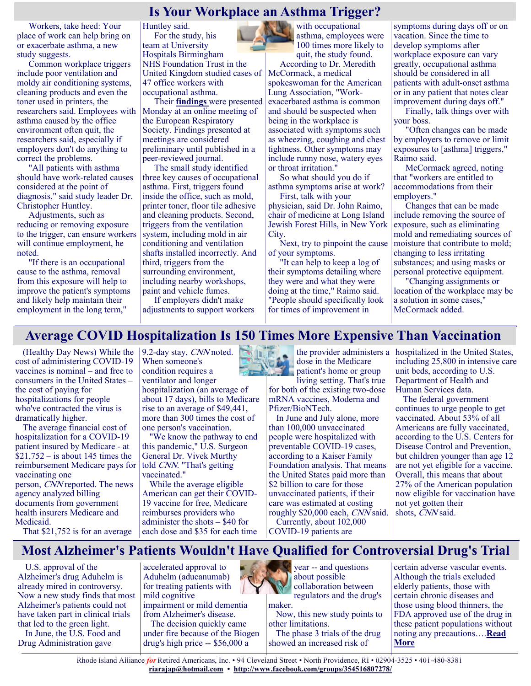## **Is Your Workplace an Asthma Trigger?**

Workers, take heed: Your place of work can help bring on or exacerbate asthma, a new study suggests.

Common workplace triggers include poor ventilation and moldy air conditioning systems, cleaning products and even the toner used in printers, the researchers said. Employees with asthma caused by the office environment often quit, the researchers said, especially if employers don't do anything to correct the problems.

"All patients with asthma should have work-related causes considered at the point of diagnosis," said study leader Dr. Christopher Huntley.

Adjustments, such as reducing or removing exposure to the trigger, can ensure workers will continue employment, he noted.

"If there is an occupational cause to the asthma, removal from this exposure will help to improve the patient's symptoms and likely help maintain their employment in the long term,"

Huntley said. For the study, his team at University Hospitals Birmingham NHS Foundation Trust in the United Kingdom studied cases of 47 office workers with occupational asthma.

Their **[findings](https://k4.ersnet.org/prod/v2/Front/Program/Session?e=262&session=13568)** were presented Monday at an online meeting of the European Respiratory Society. Findings presented at meetings are considered preliminary until published in a peer-reviewed journal.

The small study identified three key causes of occupational asthma. First, triggers found inside the office, such as mold, printer toner, floor tile adhesive and cleaning products. Second, triggers from the ventilation system, including mold in air conditioning and ventilation shafts installed incorrectly. And third, triggers from the surrounding environment, including nearby workshops, paint and vehicle fumes. If employers didn't make

adjustments to support workers

100 times more likely to quit, the study found. According to Dr. Meredith McCormack, a medical spokeswoman for the American Lung Association, "Workexacerbated asthma is common and should be suspected when being in the workplace is associated with symptoms such as wheezing, coughing and chest tightness. Other symptoms may include runny nose, watery eyes or throat irritation."

with occupational asthma, employees were

So what should you do if asthma symptoms arise at work?

First, talk with your physician, said Dr. John Raimo, chair of medicine at Long Island Jewish Forest Hills, in New York City.

Next, try to pinpoint the cause of your symptoms.

"It can help to keep a log of their symptoms detailing where they were and what they were doing at the time," Raimo said. "People should specifically look for times of improvement in

symptoms during days off or on vacation. Since the time to develop symptoms after workplace exposure can vary greatly, occupational asthma should be considered in all patients with adult-onset asthma or in any patient that notes clear improvement during days off."

Finally, talk things over with your boss.

"Often changes can be made by employers to remove or limit exposures to [asthma] triggers," Raimo said.

McCormack agreed, noting that "workers are entitled to accommodations from their employers."

Changes that can be made include removing the source of exposure, such as eliminating mold and remediating sources of moisture that contribute to mold; changing to less irritating substances; and using masks or personal protective equipment.

"Changing assignments or location of the workplace may be a solution in some cases," McCormack added.

# **Average COVID Hospitalization Is 150 Times More Expensive Than Vaccination**

(Healthy Day News) While the cost of administering COVID-19 vaccines is nominal – and free to consumers in the United States – the cost of paying for hospitalizations for people who've contracted the virus is dramatically higher.

The average financial cost of hospitalization for a COVID-19 patient insured by Medicare - at  $$21,752 - is about 145 times the$ reimbursement Medicare pays for vaccinating one person, CNN reported. The news agency analyzed billing documents from government health insurers Medicare and Medicaid.

9.2-day stay, CNN noted. When someone's condition requires a ventilator and longer hospitalization (an average of about 17 days), bills to Medicare

rise to an average of \$49,441, more than 300 times the cost of one person's vaccination. "We know the pathway to end

this pandemic," U.S. Surgeon General Dr. Vivek Murthy told CNN. "That's getting vaccinated."

While the average eligible American can get their COVID-19 vaccine for free, Medicare reimburses providers who administer the shots – \$40 for each dose and \$35 for each time



the provider administers a dose in the Medicare patient's home or group

living setting. That's true for both of the existing two-dose mRNA vaccines, Moderna and Pfizer/BioNTech.

In June and July alone, more than 100,000 unvaccinated people were hospitalized with preventable COVID-19 cases, according to a Kaiser Family Foundation analysis. That means the United States paid more than \$2 billion to care for those unvaccinated patients, if their care was estimated at costing roughly \$20,000 each, CNN said. Currently, about 102,000 COVID-19 patients are

hospitalized in the United States, including 25,800 in intensive care unit beds, according to U.S. Department of Health and Human Services data.

The federal government continues to urge people to get vaccinated. About 53% of all Americans are fully vaccinated, according to the U.S. Centers for Disease Control and Prevention, but children younger than age 12 are not yet eligible for a vaccine. Overall, this means that about 27% of the American population now eligible for vaccination have not yet gotten their shots, CNN said.

That \$21,752 is for an average

## **Most Alzheimer's Patients Wouldn't Have Qualified for Controversial Drug's Trial**

U.S. approval of the Alzheimer's drug Aduhelm is already mired in controversy. Now a new study finds that most Alzheimer's patients could not have taken part in clinical trials that led to the green light. In June, the U.S. Food and

Drug Administration gave

accelerated approval to Aduhelm (aducanumab) for treating patients with mild cognitive impairment or mild dementia from Alzheimer's disease.

The decision quickly came under fire because of the Biogen drug's high price -- \$56,000 a



about possible collaboration between regulators and the drug's

maker.

Now, this new study points to other limitations.

The phase 3 trials of the drug showed an increased risk of

certain adverse vascular events. Although the trials excluded elderly patients, those with certain chronic diseases and those using blood thinners, the FDA approved use of the drug in these patient populations without noting any precautions….**[Read](https://consumer.healthday.com/b-9-14-most-alzheimer-s-patients-wouldn-t-have-qualified-for-aducanumab-drug-trials-study-2654966444.html)  [More](https://consumer.healthday.com/b-9-14-most-alzheimer-s-patients-wouldn-t-have-qualified-for-aducanumab-drug-trials-study-2654966444.html)**